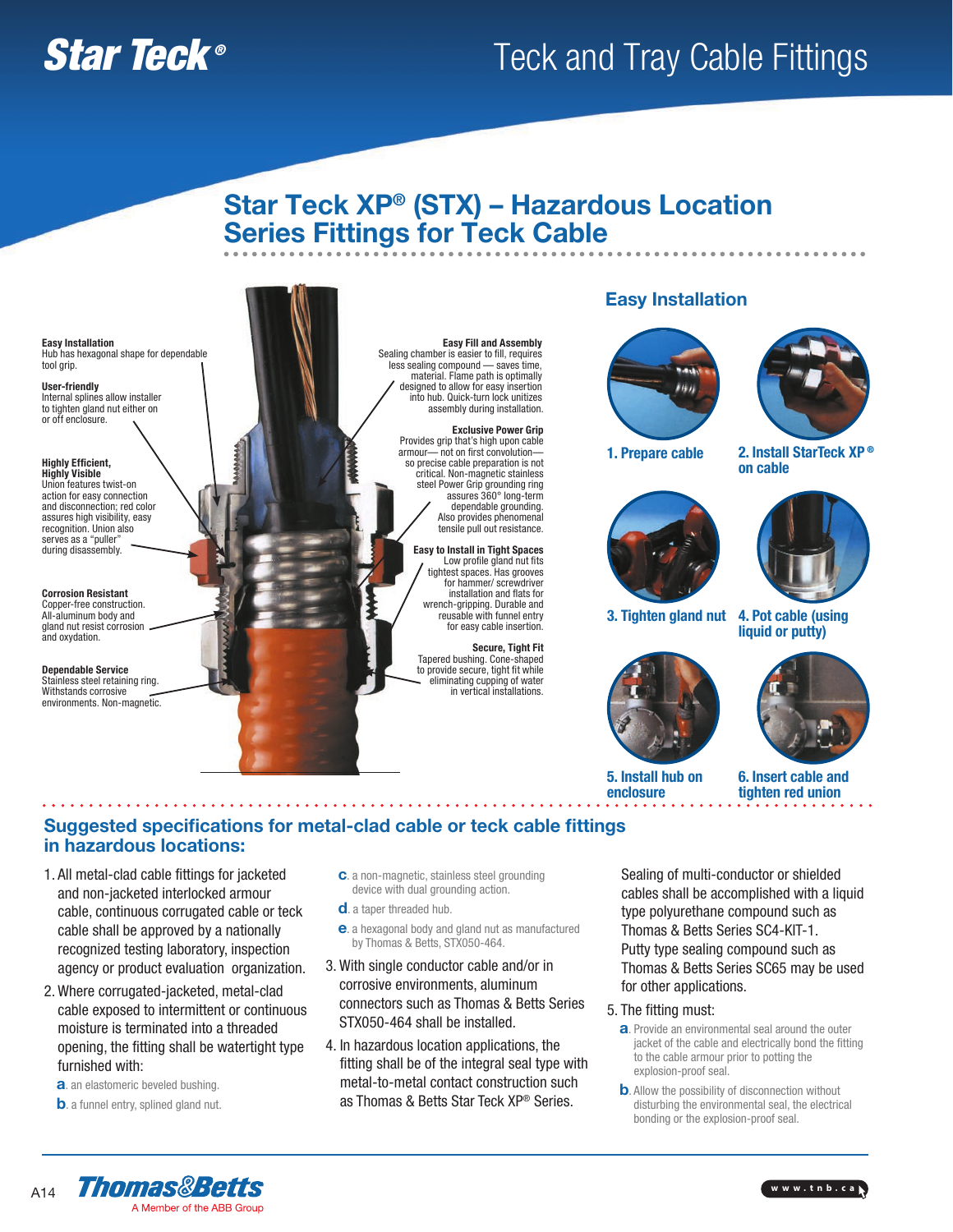# **Star Teck ®** Teck and Tray Cable Fittings

### Star Teck XP® (STX) – Hazardous Location Series Fittings for Teck Cable. . . . . . . . . . .

Easy Installation Hub has hexagonal shape for dependable tool grip.

User-friendly Internal splines allow installer to tighten gland nut either on or off enclosure.

Highly Efficient, Highly Visible Union features twist-on action for easy connection and disconnection; red color assures high visibility, easy recognition. Union also serves as a "puller" during disassembly.

Corrosion Resistant Copper-free construction. All-aluminum body and gland nut resist corrosion and oxydation.

Dependable Service tainless steel retaining ring. Withstands corrosive environments. Non-magnetic.



Exclusive Power Grip Provides grip that's high upon cable armour— not on first convolution so precise cable preparation is not critical. Non-magnetic stainless steel Power Grip grounding ring assures 360° long-term dependable grounding. Also provides phenomenal tensile pull out resistance.

Easy to Install in Tight Spaces Low profile gland nut fits tightest spaces. Has grooves for hammer/ screwdriver installation and flats for wrench-gripping. Durable and reusable with funnel entry for easy cable insertion.

Secure, Tight Fit Tapered bushing. Cone-shaped to provide secure, tight fit while eliminating cupping of water in vertical installations.

### Easy Installation





1. Prepare cable 2. Install StarTeck XP®





3. Tighten gland nut 4. Pot cable (using liquid or putty)

on cable



5. Install hub on enclosure



6. Insert cable and tighten red union

### Suggested specifications for metal-clad cable or teck cable fittings in hazardous locations:

- 1. All metal-clad cable fittings for jacketed and non-jacketed interlocked armour cable, continuous corrugated cable or teck cable shall be approved by a nationally recognized testing laboratory, inspection agency or product evaluation organization.
- 2. Where corrugated-jacketed, metal-clad cable exposed to intermittent or continuous moisture is terminated into a threaded opening, the fitting shall be watertight type furnished with:
	- a. an elastomeric beveled bushing.
	- **b**. a funnel entry, splined gland nut.
- c. a non-magnetic, stainless steel grounding device with dual grounding action.
- d. a taper threaded hub.
- e. a hexagonal body and gland nut as manufactured by Thomas & Betts, STX050-464.
- 3. With single conductor cable and/or in corrosive environments, aluminum connectors such as Thomas & Betts Series STX050-464 shall be installed.
- 4. In hazardous location applications, the fitting shall be of the integral seal type with metal-to-metal contact construction such as Thomas & Betts Star Teck XP® Series.

Sealing of multi-conductor or shielded cables shall be accomplished with a liquid type polyurethane compound such as Thomas & Betts Series SC4-KIT-1. Putty type sealing compound such as Thomas & Betts Series SC65 may be used for other applications.

- 5. The fitting must:
	- a. Provide an environmental seal around the outer jacket of the cable and electrically bond the fitting to the cable armour prior to potting the explosion-proof seal.
	- **b.** Allow the possibility of disconnection without disturbing the environmental seal, the electrical bonding or the explosion-proof seal.